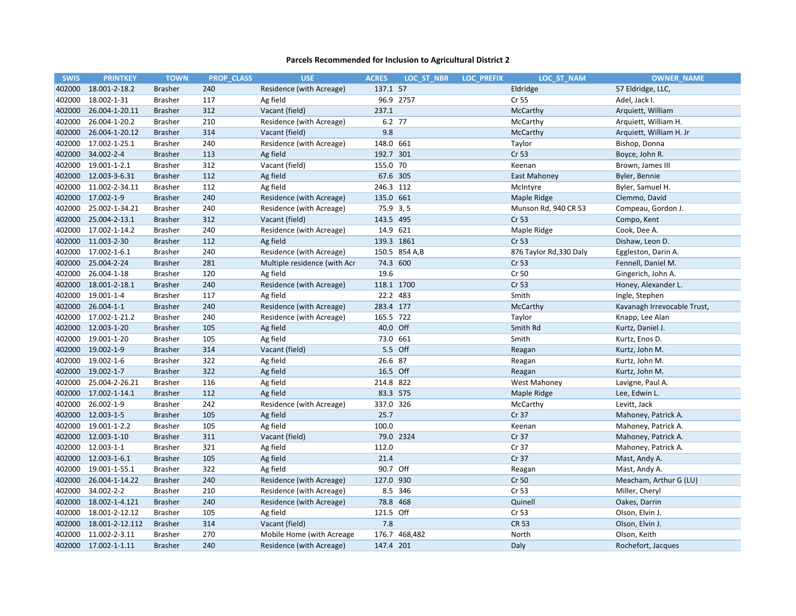| <b>SWIS</b> | <b>PRINTKEY</b>      | <b>TOWN</b>    | <b>PROP CLASS</b> | <b>USE</b>                   | <b>ACRES</b> | LOC ST NBR    | <b>LOC PREFIX</b> | LOC ST NAM              | <b>OWNER NAME</b>           |
|-------------|----------------------|----------------|-------------------|------------------------------|--------------|---------------|-------------------|-------------------------|-----------------------------|
| 402000      | 18.001-2-18.2        | <b>Brasher</b> | 240               | Residence (with Acreage)     | 137.1 57     |               |                   | Eldridge                | 57 Eldridge, LLC,           |
| 402000      | 18.002-1-31          | <b>Brasher</b> | 117               | Ag field                     |              | 96.9 2757     |                   | Cr 55                   | Adel, Jack I.               |
| 402000      | 26.004-1-20.11       | <b>Brasher</b> | 312               | Vacant (field)               | 237.1        |               |                   | McCarthy                | Arquiett, William           |
| 402000      | 26.004-1-20.2        | <b>Brasher</b> | 210               | Residence (with Acreage)     | 6.2 77       |               |                   | McCarthy                | Arquiett, William H.        |
| 402000      | 26.004-1-20.12       | <b>Brasher</b> | 314               | Vacant (field)               | 9.8          |               |                   | McCarthy                | Arquiett, William H. Jr     |
| 402000      | 17.002-1-25.1        | <b>Brasher</b> | 240               | Residence (with Acreage)     | 148.0 661    |               |                   | Taylor                  | Bishop, Donna               |
| 402000      | 34.002-2-4           | <b>Brasher</b> | 113               | Ag field                     | 192.7 301    |               |                   | Cr 53                   | Boyce, John R.              |
| 402000      | 19.001-1-2.1         | <b>Brasher</b> | 312               | Vacant (field)               | 155.0 70     |               |                   | Keenan                  | Brown, James III            |
| 402000      | 12.003-3-6.31        | <b>Brasher</b> | 112               | Ag field                     | 67.6 305     |               |                   | <b>East Mahoney</b>     | Byler, Bennie               |
| 402000      | 11.002-2-34.11       | <b>Brasher</b> | 112               | Ag field                     | 246.3 112    |               |                   | McIntyre                | Byler, Samuel H.            |
| 402000      | 17.002-1-9           | <b>Brasher</b> | 240               | Residence (with Acreage)     | 135.0 661    |               |                   | Maple Ridge             | Clemmo, David               |
| 402000      | 25.002-1-34.21       | <b>Brasher</b> | 240               | Residence (with Acreage)     | 75.9 3, 5    |               |                   | Munson Rd, 940 CR 53    | Compeau, Gordon J.          |
| 402000      | 25.004-2-13.1        | <b>Brasher</b> | 312               | Vacant (field)               | 143.5 495    |               |                   | Cr 53                   | Compo, Kent                 |
| 402000      | 17.002-1-14.2        | <b>Brasher</b> | 240               | Residence (with Acreage)     | 14.9 621     |               |                   | Maple Ridge             | Cook, Dee A.                |
| 402000      | 11.003-2-30          | <b>Brasher</b> | 112               | Ag field                     | 139.3 1861   |               |                   | Cr 53                   | Dishaw, Leon D.             |
| 402000      | 17.002-1-6.1         | <b>Brasher</b> | 240               | Residence (with Acreage)     |              | 150.5 854 A,B |                   | 876 Taylor Rd, 330 Daly | Eggleston, Darin A.         |
| 402000      | 25.004-2-24          | <b>Brasher</b> | 281               | Multiple residence (with Acr | 74.3 600     |               |                   | Cr 53                   | Fennell, Daniel M.          |
| 402000      | 26.004-1-18          | <b>Brasher</b> | 120               | Ag field                     | 19.6         |               |                   | Cr 50                   | Gingerich, John A.          |
| 402000      | 18.001-2-18.1        | <b>Brasher</b> | 240               | Residence (with Acreage)     | 118.1 1700   |               |                   | Cr 53                   | Honey, Alexander L.         |
| 402000      | 19.001-1-4           | <b>Brasher</b> | 117               | Ag field                     | 22.2 483     |               |                   | Smith                   | Ingle, Stephen              |
| 402000      | 26.004-1-1           | <b>Brasher</b> | 240               | Residence (with Acreage)     | 283.4 177    |               |                   | McCarthy                | Kavanagh Irrevocable Trust, |
| 402000      | 17.002-1-21.2        | <b>Brasher</b> | 240               | Residence (with Acreage)     | 165.5 722    |               |                   | Taylor                  | Knapp, Lee Alan             |
|             | 402000 12.003-1-20   | <b>Brasher</b> | 105               | Ag field                     | 40.0 Off     |               |                   | Smith Rd                | Kurtz, Daniel J.            |
| 402000      | 19.001-1-20          | <b>Brasher</b> | 105               | Ag field                     | 73.0 661     |               |                   | Smith                   | Kurtz, Enos D.              |
| 402000      | 19.002-1-9           | <b>Brasher</b> | 314               | Vacant (field)               |              | 5.5 Off       |                   | Reagan                  | Kurtz, John M.              |
| 402000      | 19.002-1-6           | <b>Brasher</b> | 322               | Ag field                     | 26.6 87      |               |                   | Reagan                  | Kurtz, John M.              |
| 402000      | 19.002-1-7           | <b>Brasher</b> | 322               | Ag field                     | 16.5 Off     |               |                   | Reagan                  | Kurtz, John M.              |
| 402000      | 25.004-2-26.21       | <b>Brasher</b> | 116               | Ag field                     | 214.8 822    |               |                   | West Mahoney            | Lavigne, Paul A.            |
| 402000      | 17.002-1-14.1        | <b>Brasher</b> | 112               | Ag field                     | 83.3 575     |               |                   | Maple Ridge             | Lee, Edwin L.               |
| 402000      | 26.002-1-9           | <b>Brasher</b> | 242               | Residence (with Acreage)     | 337.0 326    |               |                   | McCarthy                | Levitt, Jack                |
| 402000      | 12.003-1-5           | <b>Brasher</b> | 105               | Ag field                     | 25.7         |               |                   | Cr 37                   | Mahoney, Patrick A.         |
| 402000      | 19.001-1-2.2         | <b>Brasher</b> | 105               | Ag field                     | 100.0        |               |                   | Keenan                  | Mahoney, Patrick A.         |
|             | 402000 12.003-1-10   | <b>Brasher</b> | 311               | Vacant (field)               |              | 79.0 2324     |                   | Cr 37                   | Mahoney, Patrick A.         |
| 402000      | 12.003-1-1           | <b>Brasher</b> | 321               | Ag field                     | 112.0        |               |                   | Cr 37                   | Mahoney, Patrick A.         |
| 402000      | 12.003-1-6.1         | <b>Brasher</b> | 105               | Ag field                     | 21.4         |               |                   | Cr 37                   | Mast, Andy A.               |
| 402000      | 19.001-1-55.1        | <b>Brasher</b> | 322               | Ag field                     | 90.7 Off     |               |                   | Reagan                  | Mast, Andy A.               |
| 402000      | 26.004-1-14.22       | <b>Brasher</b> | 240               | Residence (with Acreage)     | 127.0 930    |               |                   | Cr 50                   | Meacham, Arthur G (LU)      |
| 402000      | 34.002-2-2           | <b>Brasher</b> | 210               | Residence (with Acreage)     |              | 8.5 346       |                   | Cr 53                   | Miller, Cheryl              |
| 402000      | 18.002-1-4.121       | <b>Brasher</b> | 240               | Residence (with Acreage)     | 78.8 468     |               |                   | Quinell                 | Oakes, Darrin               |
| 402000      | 18.001-2-12.12       | <b>Brasher</b> | 105               | Ag field                     | 121.5 Off    |               |                   | Cr 53                   | Olson, Elvin J.             |
| 402000      | 18.001-2-12.112      | <b>Brasher</b> | 314               | Vacant (field)               | 7.8          |               |                   | <b>CR 53</b>            | Olson, Elvin J.             |
| 402000      | 11.002-2-3.11        | <b>Brasher</b> | 270               | Mobile Home (with Acreage    |              | 176.7 468,482 |                   | North                   | Olson, Keith                |
|             | 402000 17.002-1-1.11 | <b>Brasher</b> | 240               | Residence (with Acreage)     | 147.4 201    |               |                   | Daly                    | Rochefort, Jacques          |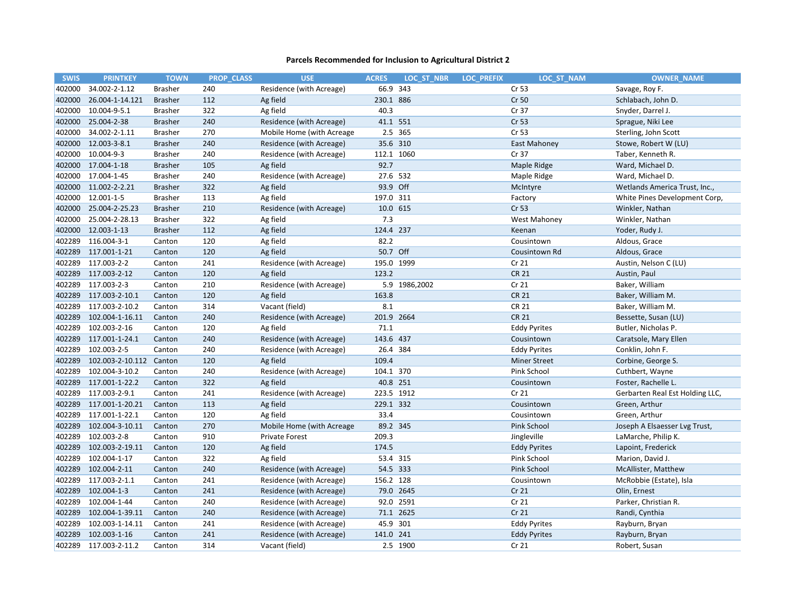| <b>SWIS</b> | <b>PRINTKEY</b>  | <b>TOWN</b>    | <b>PROP CLASS</b> | <b>USE</b>                | <b>ACRES</b> | LOC ST NBR    | <b>LOC PREFIX</b> | LOC ST NAM          | <b>OWNER NAME</b>               |
|-------------|------------------|----------------|-------------------|---------------------------|--------------|---------------|-------------------|---------------------|---------------------------------|
| 402000      | 34.002-2-1.12    | <b>Brasher</b> | 240               | Residence (with Acreage)  | 66.9         | 343           |                   | Cr 53               | Savage, Roy F.                  |
| 402000      | 26.004-1-14.121  | <b>Brasher</b> | 112               | Ag field                  | 230.1 886    |               |                   | Cr 50               | Schlabach, John D.              |
| 402000      | 10.004-9-5.1     | <b>Brasher</b> | 322               | Ag field                  | 40.3         |               |                   | Cr 37               | Snyder, Darrel J.               |
| 402000      | 25.004-2-38      | <b>Brasher</b> | 240               | Residence (with Acreage)  | 41.1 551     |               |                   | Cr 53               | Sprague, Niki Lee               |
| 402000      | 34.002-2-1.11    | <b>Brasher</b> | 270               | Mobile Home (with Acreage |              | 2.5 365       |                   | Cr 53               | Sterling, John Scott            |
| 402000      | 12.003-3-8.1     | <b>Brasher</b> | 240               | Residence (with Acreage)  | 35.6 310     |               |                   | East Mahoney        | Stowe, Robert W (LU)            |
| 402000      | 10.004-9-3       | <b>Brasher</b> | 240               | Residence (with Acreage)  | 112.1 1060   |               |                   | Cr 37               | Taber, Kenneth R.               |
| 402000      | 17.004-1-18      | <b>Brasher</b> | 105               | Ag field                  | 92.7         |               |                   | Maple Ridge         | Ward, Michael D.                |
| 402000      | 17.004-1-45      | <b>Brasher</b> | 240               | Residence (with Acreage)  | 27.6 532     |               |                   | Maple Ridge         | Ward, Michael D.                |
| 402000      | 11.002-2-2.21    | <b>Brasher</b> | 322               | Ag field                  | 93.9 Off     |               |                   | McIntyre            | Wetlands America Trust, Inc.,   |
| 402000      | 12.001-1-5       | <b>Brasher</b> | 113               | Ag field                  | 197.0 311    |               |                   | Factory             | White Pines Development Corp,   |
| 402000      | 25.004-2-25.23   | <b>Brasher</b> | 210               | Residence (with Acreage)  | 10.0 615     |               |                   | Cr 53               | Winkler, Nathan                 |
| 402000      | 25.004-2-28.13   | <b>Brasher</b> | 322               | Ag field                  | 7.3          |               |                   | West Mahoney        | Winkler, Nathan                 |
| 402000      | 12.003-1-13      | <b>Brasher</b> | 112               | Ag field                  | 124.4 237    |               |                   | Keenan              | Yoder, Rudy J.                  |
| 402289      | 116.004-3-1      | Canton         | 120               | Ag field                  | 82.2         |               |                   | Cousintown          | Aldous, Grace                   |
| 402289      | 117.001-1-21     | Canton         | 120               | Ag field                  | 50.7 Off     |               |                   | Cousintown Rd       | Aldous, Grace                   |
| 402289      | 117.003-2-2      | Canton         | 241               | Residence (with Acreage)  | 195.0 1999   |               |                   | Cr 21               | Austin, Nelson C (LU)           |
| 402289      | 117.003-2-12     | Canton         | 120               | Ag field                  | 123.2        |               |                   | <b>CR 21</b>        | Austin, Paul                    |
| 402289      | 117.003-2-3      | Canton         | 210               | Residence (with Acreage)  |              | 5.9 1986,2002 |                   | Cr 21               | Baker, William                  |
| 402289      | 117.003-2-10.1   | Canton         | 120               | Ag field                  | 163.8        |               |                   | <b>CR 21</b>        | Baker, William M.               |
| 402289      | 117.003-2-10.2   | Canton         | 314               | Vacant (field)            | 8.1          |               |                   | <b>CR 21</b>        | Baker, William M.               |
| 402289      | 102.004-1-16.11  | Canton         | 240               | Residence (with Acreage)  | 201.9 2664   |               |                   | <b>CR 21</b>        | Bessette, Susan (LU)            |
| 402289      | 102.003-2-16     | Canton         | 120               | Ag field                  | 71.1         |               |                   | <b>Eddy Pyrites</b> | Butler, Nicholas P.             |
| 402289      | 117.001-1-24.1   | Canton         | 240               | Residence (with Acreage)  | 143.6 437    |               |                   | Cousintown          | Caratsole, Mary Ellen           |
| 402289      | 102.003-2-5      | Canton         | 240               | Residence (with Acreage)  | 26.4 384     |               |                   | <b>Eddy Pyrites</b> | Conklin, John F.                |
| 402289      | 102.003-2-10.112 | Canton         | 120               | Ag field                  | 109.4        |               |                   | <b>Miner Street</b> | Corbine, George S.              |
| 402289      | 102.004-3-10.2   | Canton         | 240               | Residence (with Acreage)  | 104.1 370    |               |                   | Pink School         | Cuthbert, Wayne                 |
| 402289      | 117.001-1-22.2   | Canton         | 322               | Ag field                  | 40.8 251     |               |                   | Cousintown          | Foster, Rachelle L.             |
| 402289      | 117.003-2-9.1    | Canton         | 241               | Residence (with Acreage)  | 223.5 1912   |               |                   | Cr <sub>21</sub>    | Gerbarten Real Est Holding LLC, |
| 402289      | 117.001-1-20.21  | Canton         | 113               | Ag field                  | 229.1 332    |               |                   | Cousintown          | Green, Arthur                   |
| 402289      | 117.001-1-22.1   | Canton         | 120               | Ag field                  | 33.4         |               |                   | Cousintown          | Green, Arthur                   |
| 402289      | 102.004-3-10.11  | Canton         | 270               | Mobile Home (with Acreage | 89.2 345     |               |                   | Pink School         | Joseph A Elsaesser Lvg Trust,   |
| 402289      | 102.003-2-8      | Canton         | 910               | Private Forest            | 209.3        |               |                   | Jingleville         | LaMarche, Philip K.             |
| 402289      | 102.003-2-19.11  | Canton         | 120               | Ag field                  | 174.5        |               |                   | <b>Eddy Pyrites</b> | Lapoint, Frederick              |
| 402289      | 102.004-1-17     | Canton         | 322               | Ag field                  | 53.4 315     |               |                   | Pink School         | Marion, David J.                |
| 402289      | 102.004-2-11     | Canton         | 240               | Residence (with Acreage)  | 54.5 333     |               |                   | Pink School         | McAllister, Matthew             |
| 402289      | 117.003-2-1.1    | Canton         | 241               | Residence (with Acreage)  | 156.2 128    |               |                   | Cousintown          | McRobbie (Estate), Isla         |
| 402289      | 102.004-1-3      | Canton         | 241               | Residence (with Acreage)  |              | 79.0 2645     |                   | Cr 21               | Olin, Ernest                    |
| 402289      | 102.004-1-44     | Canton         | 240               | Residence (with Acreage)  |              | 92.0 2591     |                   | Cr <sub>21</sub>    | Parker, Christian R.            |
| 402289      | 102.004-1-39.11  | Canton         | 240               | Residence (with Acreage)  |              | 71.1 2625     |                   | Cr 21               | Randi, Cynthia                  |
| 402289      | 102.003-1-14.11  | Canton         | 241               | Residence (with Acreage)  | 45.9 301     |               |                   | <b>Eddy Pyrites</b> | Rayburn, Bryan                  |
| 402289      | 102.003-1-16     | Canton         | 241               | Residence (with Acreage)  | 141.0 241    |               |                   | <b>Eddy Pyrites</b> | Rayburn, Bryan                  |
| 402289      | 117.003-2-11.2   | Canton         | 314               | Vacant (field)            |              | 2.5 1900      |                   | Cr <sub>21</sub>    | Robert, Susan                   |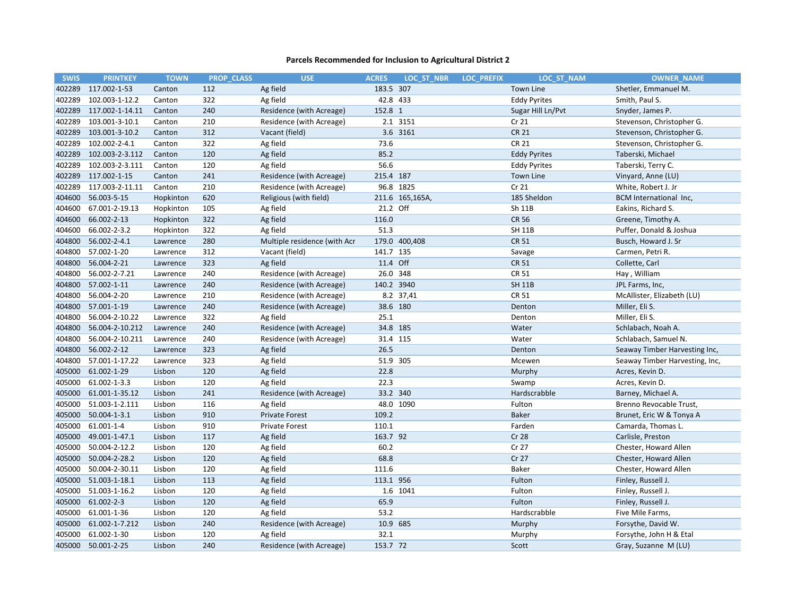| <b>SWIS</b> | <b>PRINTKEY</b> | <b>TOWN</b> | <b>PROP CLASS</b> | <b>USE</b>                   | <b>ACRES</b> | LOC ST NBR      | <b>LOC PREFIX</b> | LOC ST NAM          | <b>OWNER NAME</b>              |
|-------------|-----------------|-------------|-------------------|------------------------------|--------------|-----------------|-------------------|---------------------|--------------------------------|
| 402289      | 117.002-1-53    | Canton      | 112               | Ag field                     | 183.5 307    |                 |                   | Town Line           | Shetler, Emmanuel M.           |
| 402289      | 102.003-1-12.2  | Canton      | 322               | Ag field                     |              | 42.8 433        |                   | <b>Eddy Pyrites</b> | Smith, Paul S.                 |
| 402289      | 117.002-1-14.11 | Canton      | 240               | Residence (with Acreage)     | 152.8 1      |                 |                   | Sugar Hill Ln/Pvt   | Snyder, James P.               |
| 402289      | 103.001-3-10.1  | Canton      | 210               | Residence (with Acreage)     |              | 2.1 3151        |                   | Cr <sub>21</sub>    | Stevenson, Christopher G.      |
| 402289      | 103.001-3-10.2  | Canton      | 312               | Vacant (field)               |              | 3.6 3161        |                   | <b>CR 21</b>        | Stevenson, Christopher G.      |
| 402289      | 102.002-2-4.1   | Canton      | 322               | Ag field                     | 73.6         |                 |                   | <b>CR 21</b>        | Stevenson, Christopher G.      |
| 402289      | 102.003-2-3.112 | Canton      | 120               | Ag field                     | 85.2         |                 |                   | <b>Eddy Pyrites</b> | Taberski, Michael              |
| 402289      | 102.003-2-3.111 | Canton      | 120               | Ag field                     | 56.6         |                 |                   | <b>Eddy Pyrites</b> | Taberski, Terry C.             |
| 402289      | 117.002-1-15    | Canton      | 241               | Residence (with Acreage)     | 215.4 187    |                 |                   | Town Line           | Vinyard, Anne (LU)             |
| 402289      | 117.003-2-11.11 | Canton      | 210               | Residence (with Acreage)     |              | 96.8 1825       |                   | Cr 21               | White, Robert J. Jr            |
| 404600      | 56.003-5-15     | Hopkinton   | 620               | Religious (with field)       |              | 211.6 165,165A, |                   | 185 Sheldon         | BCM International Inc,         |
| 404600      | 67.001-2-19.13  | Hopkinton   | 105               | Ag field                     | 21.2 Off     |                 |                   | Sh 11B              | Eakins, Richard S.             |
| 404600      | 66.002-2-13     | Hopkinton   | 322               | Ag field                     | 116.0        |                 |                   | <b>CR 56</b>        | Greene, Timothy A.             |
| 404600      | 66.002-2-3.2    | Hopkinton   | 322               | Ag field                     | 51.3         |                 |                   | <b>SH 11B</b>       | Puffer, Donald & Joshua        |
| 404800      | 56.002-2-4.1    | Lawrence    | 280               | Multiple residence (with Acr |              | 179.0 400,408   |                   | <b>CR 51</b>        | Busch, Howard J. Sr            |
| 404800      | 57.002-1-20     | Lawrence    | 312               | Vacant (field)               | 141.7 135    |                 |                   | Savage              | Carmen, Petri R.               |
| 404800      | 56.004-2-21     | Lawrence    | 323               | Ag field                     | 11.4 Off     |                 |                   | <b>CR 51</b>        | Collette, Carl                 |
| 404800      | 56.002-2-7.21   | Lawrence    | 240               | Residence (with Acreage)     | 26.0 348     |                 |                   | <b>CR 51</b>        | Hay, William                   |
| 404800      | 57.002-1-11     | Lawrence    | 240               | Residence (with Acreage)     |              | 140.2 3940      |                   | <b>SH 11B</b>       | JPL Farms, Inc,                |
| 404800      | 56.004-2-20     | Lawrence    | 210               | Residence (with Acreage)     |              | 8.2 37,41       |                   | <b>CR 51</b>        | McAllister, Elizabeth (LU)     |
| 404800      | 57.001-1-19     | Lawrence    | 240               | Residence (with Acreage)     | 38.6 180     |                 |                   | Denton              | Miller, Eli S.                 |
| 404800      | 56.004-2-10.22  | Lawrence    | 322               | Ag field                     | 25.1         |                 |                   | Denton              | Miller, Eli S.                 |
| 404800      | 56.004-2-10.212 | Lawrence    | 240               | Residence (with Acreage)     |              | 34.8 185        |                   | Water               | Schlabach, Noah A.             |
| 404800      | 56.004-2-10.211 | Lawrence    | 240               | Residence (with Acreage)     |              | 31.4 115        |                   | Water               | Schlabach, Samuel N.           |
| 404800      | 56.002-2-12     | Lawrence    | 323               | Ag field                     | 26.5         |                 |                   | Denton              | Seaway Timber Harvesting Inc,  |
| 404800      | 57.001-1-17.22  | Lawrence    | 323               | Ag field                     |              | 51.9 305        |                   | Mcewen              | Seaway Timber Harvesting, Inc, |
| 405000      | 61.002-1-29     | Lisbon      | 120               | Ag field                     | 22.8         |                 |                   | Murphy              | Acres, Kevin D.                |
| 405000      | 61.002-1-3.3    | Lisbon      | 120               | Ag field                     | 22.3         |                 |                   | Swamp               | Acres, Kevin D.                |
| 405000      | 61.001-1-35.12  | Lisbon      | 241               | Residence (with Acreage)     |              | 33.2 340        |                   | Hardscrabble        | Barney, Michael A.             |
| 405000      | 51.003-1-2.111  | Lisbon      | 116               | Ag field                     |              | 48.0 1090       |                   | Fulton              | Brenno Revocable Trust,        |
| 405000      | 50.004-1-3.1    | Lisbon      | 910               | <b>Private Forest</b>        | 109.2        |                 |                   | <b>Baker</b>        | Brunet, Eric W & Tonya A       |
| 405000      | 61.001-1-4      | Lisbon      | 910               | <b>Private Forest</b>        | 110.1        |                 |                   | Farden              | Camarda, Thomas L.             |
| 405000      | 49.001-1-47.1   | Lisbon      | 117               | Ag field                     | 163.7 92     |                 |                   | Cr 28               | Carlisle, Preston              |
| 405000      | 50.004-2-12.2   | Lisbon      | 120               | Ag field                     | 60.2         |                 |                   | Cr 27               | Chester, Howard Allen          |
| 405000      | 50.004-2-28.2   | Lisbon      | 120               | Ag field                     | 68.8         |                 |                   | Cr 27               | Chester, Howard Allen          |
| 405000      | 50.004-2-30.11  | Lisbon      | 120               | Ag field                     | 111.6        |                 |                   | Baker               | Chester, Howard Allen          |
| 405000      | 51.003-1-18.1   | Lisbon      | 113               | Ag field                     | 113.1 956    |                 |                   | Fulton              | Finley, Russell J.             |
| 405000      | 51.003-1-16.2   | Lisbon      | 120               | Ag field                     |              | 1.6 1041        |                   | Fulton              | Finley, Russell J.             |
| 405000      | 61.002-2-3      | Lisbon      | 120               | Ag field                     | 65.9         |                 |                   | Fulton              | Finley, Russell J.             |
| 405000      | 61.001-1-36     | Lisbon      | 120               | Ag field                     | 53.2         |                 |                   | Hardscrabble        | Five Mile Farms,               |
| 405000      | 61.002-1-7.212  | Lisbon      | 240               | Residence (with Acreage)     | 10.9 685     |                 |                   | Murphy              | Forsythe, David W.             |
| 405000      | 61.002-1-30     | Lisbon      | 120               | Ag field                     | 32.1         |                 |                   | Murphy              | Forsythe, John H & Etal        |
| 405000      | 50.001-2-25     | Lisbon      | 240               | Residence (with Acreage)     | 153.7 72     |                 |                   | Scott               | Gray, Suzanne M (LU)           |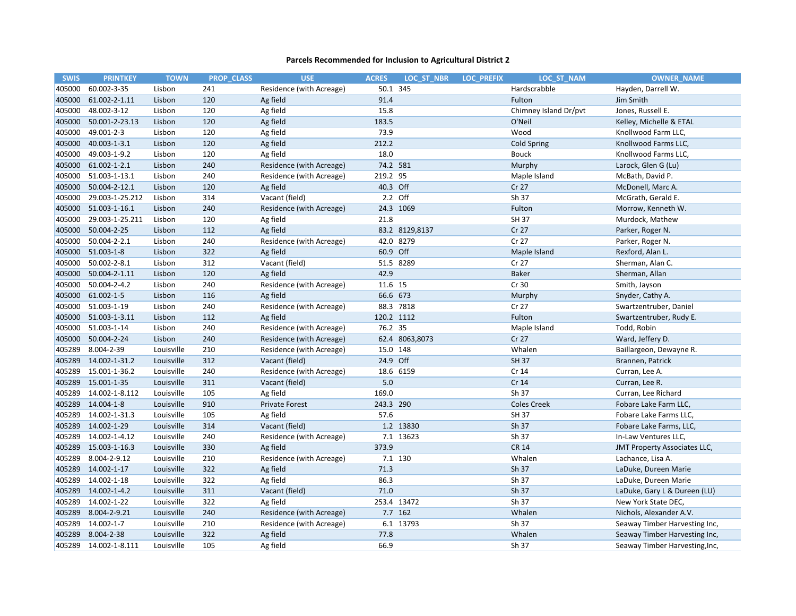| <b>SWIS</b> | <b>PRINTKEY</b>    | <b>TOWN</b> | <b>PROP CLASS</b> | <b>USE</b>               | <b>ACRES</b> | LOC ST NBR     | <b>LOC PREFIX</b> | LOC ST NAM            | <b>OWNER NAME</b>              |
|-------------|--------------------|-------------|-------------------|--------------------------|--------------|----------------|-------------------|-----------------------|--------------------------------|
| 405000      | 60.002-3-35        | Lisbon      | 241               | Residence (with Acreage) | 50.1         | 345            |                   | Hardscrabble          | Hayden, Darrell W.             |
| 405000      | 61.002-2-1.11      | Lisbon      | 120               | Ag field                 | 91.4         |                |                   | Fulton                | Jim Smith                      |
| 405000      | 48.002-3-12        | Lisbon      | 120               | Ag field                 | 15.8         |                |                   | Chimney Island Dr/pvt | Jones, Russell E.              |
| 405000      | 50.001-2-23.13     | Lisbon      | 120               | Ag field                 | 183.5        |                |                   | O'Neil                | Kelley, Michelle & ETAL        |
| 405000      | 49.001-2-3         | Lisbon      | 120               | Ag field                 | 73.9         |                |                   | Wood                  | Knollwood Farm LLC,            |
| 405000      | 40.003-1-3.1       | Lisbon      | 120               | Ag field                 | 212.2        |                |                   | <b>Cold Spring</b>    | Knollwood Farms LLC,           |
| 405000      | 49.003-1-9.2       | Lisbon      | 120               | Ag field                 | 18.0         |                |                   | <b>Bouck</b>          | Knollwood Farms LLC,           |
| 405000      | 61.002-1-2.1       | Lisbon      | 240               | Residence (with Acreage) | 74.2 581     |                |                   | Murphy                | Larock, Glen G (Lu)            |
| 405000      | 51.003-1-13.1      | Lisbon      | 240               | Residence (with Acreage) | 219.2 95     |                |                   | Maple Island          | McBath, David P.               |
| 405000      | 50.004-2-12.1      | Lisbon      | 120               | Ag field                 | 40.3 Off     |                |                   | Cr 27                 | McDonell, Marc A.              |
| 405000      | 29.003-1-25.212    | Lisbon      | 314               | Vacant (field)           |              | 2.2 Off        |                   | Sh 37                 | McGrath, Gerald E.             |
| 405000      | 51.003-1-16.1      | Lisbon      | 240               | Residence (with Acreage) |              | 24.3 1069      |                   | Fulton                | Morrow, Kenneth W.             |
| 405000      | 29.003-1-25.211    | Lisbon      | 120               | Ag field                 | 21.8         |                |                   | SH 37                 | Murdock, Mathew                |
| 405000      | 50.004-2-25        | Lisbon      | 112               | Ag field                 |              | 83.2 8129,8137 |                   | Cr 27                 | Parker, Roger N.               |
| 405000      | 50.004-2-2.1       | Lisbon      | 240               | Residence (with Acreage) |              | 42.0 8279      |                   | Cr 27                 | Parker, Roger N.               |
| 405000      | 51.003-1-8         | Lisbon      | 322               | Ag field                 | 60.9 Off     |                |                   | Maple Island          | Rexford, Alan L.               |
| 405000      | 50.002-2-8.1       | Lisbon      | 312               | Vacant (field)           |              | 51.5 8289      |                   | Cr 27                 | Sherman, Alan C.               |
| 405000      | 50.004-2-1.11      | Lisbon      | 120               | Ag field                 | 42.9         |                |                   | <b>Baker</b>          | Sherman, Allan                 |
| 405000      | 50.004-2-4.2       | Lisbon      | 240               | Residence (with Acreage) | 11.6 15      |                |                   | Cr 30                 | Smith, Jayson                  |
| 405000      | 61.002-1-5         | Lisbon      | 116               | Ag field                 | 66.6 673     |                |                   | Murphy                | Snyder, Cathy A.               |
| 405000      | 51.003-1-19        | Lisbon      | 240               | Residence (with Acreage) |              | 88.3 7818      |                   | Cr 27                 | Swartzentruber, Daniel         |
| 405000      | 51.003-1-3.11      | Lisbon      | 112               | Ag field                 | 120.2 1112   |                |                   | Fulton                | Swartzentruber, Rudy E.        |
| 405000      | 51.003-1-14        | Lisbon      | 240               | Residence (with Acreage) | 76.2 35      |                |                   | Maple Island          | Todd, Robin                    |
| 405000      | 50.004-2-24        | Lisbon      | 240               | Residence (with Acreage) |              | 62.4 8063,8073 |                   | Cr 27                 | Ward, Jeffery D.               |
| 405289      | 8.004-2-39         | Louisville  | 210               | Residence (with Acreage) | 15.0 148     |                |                   | Whalen                | Baillargeon, Dewayne R.        |
| 405289      | 14.002-1-31.2      | Louisville  | 312               | Vacant (field)           | 24.9 Off     |                |                   | <b>SH 37</b>          | Brannen, Patrick               |
| 405289      | 15.001-1-36.2      | Louisville  | 240               | Residence (with Acreage) |              | 18.6 6159      |                   | Cr 14                 | Curran, Lee A.                 |
| 405289      | 15.001-1-35        | Louisville  | 311               | Vacant (field)           | 5.0          |                |                   | Cr 14                 | Curran, Lee R.                 |
| 405289      | 14.002-1-8.112     | Louisville  | 105               | Ag field                 | 169.0        |                |                   | Sh 37                 | Curran, Lee Richard            |
| 405289      | 14.004-1-8         | Louisville  | 910               | <b>Private Forest</b>    | 243.3 290    |                |                   | <b>Coles Creek</b>    | Fobare Lake Farm LLC,          |
| 405289      | 14.002-1-31.3      | Louisville  | 105               | Ag field                 | 57.6         |                |                   | <b>SH 37</b>          | Fobare Lake Farms LLC,         |
| 405289      | 14.002-1-29        | Louisville  | 314               | Vacant (field)           |              | 1.2 13830      |                   | Sh 37                 | Fobare Lake Farms, LLC,        |
| 405289      | 14.002-1-4.12      | Louisville  | 240               | Residence (with Acreage) |              | 7.1 13623      |                   | Sh 37                 | In-Law Ventures LLC,           |
| 405289      | 15.003-1-16.3      | Louisville  | 330               | Ag field                 | 373.9        |                |                   | <b>CR 14</b>          | JMT Property Associates LLC,   |
| 405289      | 8.004-2-9.12       | Louisville  | 210               | Residence (with Acreage) |              | 7.1 130        |                   | Whalen                | Lachance, Lisa A.              |
|             | 405289 14.002-1-17 | Louisville  | 322               | Ag field                 | 71.3         |                |                   | Sh 37                 | LaDuke, Dureen Marie           |
| 405289      | 14.002-1-18        | Louisville  | 322               | Ag field                 | 86.3         |                |                   | Sh 37                 | LaDuke, Dureen Marie           |
| 405289      | 14.002-1-4.2       | Louisville  | 311               | Vacant (field)           | 71.0         |                |                   | Sh 37                 | LaDuke, Gary L & Dureen (LU)   |
| 405289      | 14.002-1-22        | Louisville  | 322               | Ag field                 |              | 253.4 13472    |                   | Sh 37                 | New York State DEC,            |
| 405289      | 8.004-2-9.21       | Louisville  | 240               | Residence (with Acreage) |              | 7.7 162        |                   | Whalen                | Nichols, Alexander A.V.        |
| 405289      | 14.002-1-7         | Louisville  | 210               | Residence (with Acreage) |              | 6.1 13793      |                   | Sh 37                 | Seaway Timber Harvesting Inc,  |
| 405289      | 8.004-2-38         | Louisville  | 322               | Ag field                 | 77.8         |                |                   | Whalen                | Seaway Timber Harvesting Inc,  |
| 405289      | 14.002-1-8.111     | Louisville  | 105               | Ag field                 | 66.9         |                |                   | Sh 37                 | Seaway Timber Harvesting, Inc, |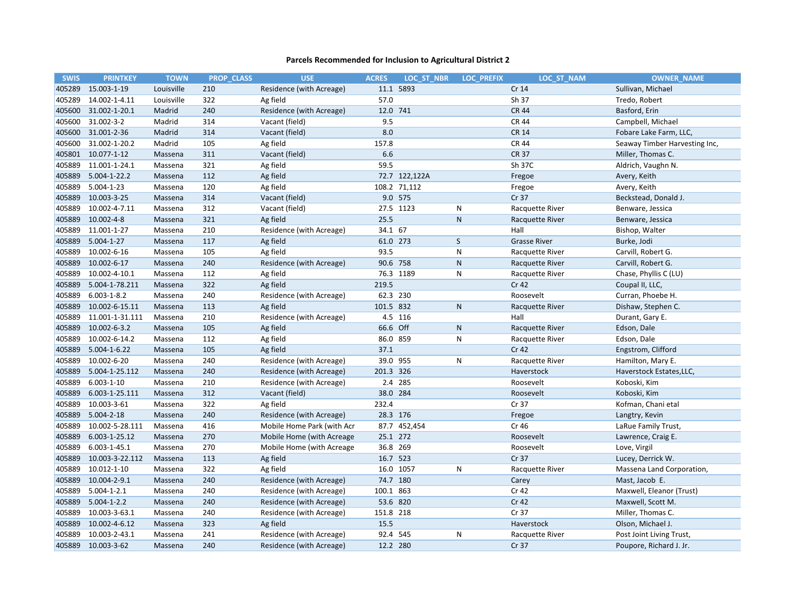| <b>SWIS</b> | <b>PRINTKEY</b>    | <b>TOWN</b> | <b>PROP CLASS</b> | <b>USE</b>                 | <b>ACRES</b> | LOC ST NBR    | <b>LOC PREFIX</b> | LOC ST NAM          | <b>OWNER NAME</b>             |
|-------------|--------------------|-------------|-------------------|----------------------------|--------------|---------------|-------------------|---------------------|-------------------------------|
| 405289      | 15.003-1-19        | Louisville  | 210               | Residence (with Acreage)   |              | 11.1 5893     |                   | Cr 14               | Sullivan, Michael             |
| 405289      | 14.002-1-4.11      | Louisville  | 322               | Ag field                   | 57.0         |               |                   | Sh 37               | Tredo, Robert                 |
| 405600      | 31.002-1-20.1      | Madrid      | 240               | Residence (with Acreage)   | 12.0 741     |               |                   | <b>CR 44</b>        | Basford, Erin                 |
| 405600      | 31.002-3-2         | Madrid      | 314               | Vacant (field)             | 9.5          |               |                   | <b>CR 44</b>        | Campbell, Michael             |
| 405600      | 31.001-2-36        | Madrid      | 314               | Vacant (field)             | 8.0          |               |                   | <b>CR 14</b>        | Fobare Lake Farm, LLC,        |
| 405600      | 31.002-1-20.2      | Madrid      | 105               | Ag field                   | 157.8        |               |                   | <b>CR 44</b>        | Seaway Timber Harvesting Inc, |
| 405801      | 10.077-1-12        | Massena     | 311               | Vacant (field)             | 6.6          |               |                   | <b>CR 37</b>        | Miller, Thomas C.             |
| 405889      | 11.001-1-24.1      | Massena     | 321               | Ag field                   | 59.5         |               |                   | Sh 37C              | Aldrich, Vaughn N.            |
| 405889      | $5.004 - 1 - 22.2$ | Massena     | 112               | Ag field                   |              | 72.7 122,122A |                   | Fregoe              | Avery, Keith                  |
| 405889      | $5.004 - 1 - 23$   | Massena     | 120               | Ag field                   |              | 108.2 71,112  |                   | Fregoe              | Avery, Keith                  |
| 405889      | 10.003-3-25        | Massena     | 314               | Vacant (field)             |              | 9.0 575       |                   | Cr 37               | Beckstead, Donald J.          |
| 405889      | 10.002-4-7.11      | Massena     | 312               | Vacant (field)             |              | 27.5 1123     | ${\sf N}$         | Racquette River     | Benware, Jessica              |
| 405889      | 10.002-4-8         | Massena     | 321               | Ag field                   | 25.5         |               | ${\sf N}$         | Racquette River     | Benware, Jessica              |
| 405889      | 11.001-1-27        | Massena     | 210               | Residence (with Acreage)   | 34.1 67      |               |                   | Hall                | Bishop, Walter                |
| 405889      | $5.004 - 1 - 27$   | Massena     | 117               | Ag field                   | 61.0 273     |               | S                 | <b>Grasse River</b> | Burke, Jodi                   |
| 405889      | 10.002-6-16        | Massena     | 105               | Ag field                   | 93.5         |               | ${\sf N}$         | Racquette River     | Carvill, Robert G.            |
| 405889      | 10.002-6-17        | Massena     | 240               | Residence (with Acreage)   | 90.6 758     |               | ${\sf N}$         | Racquette River     | Carvill, Robert G.            |
| 405889      | 10.002-4-10.1      | Massena     | 112               | Ag field                   |              | 76.3 1189     | ${\sf N}$         | Racquette River     | Chase, Phyllis C (LU)         |
| 405889      | 5.004-1-78.211     | Massena     | 322               | Ag field                   | 219.5        |               |                   | Cr <sub>42</sub>    | Coupal II, LLC,               |
| 405889      | $6.003 - 1 - 8.2$  | Massena     | 240               | Residence (with Acreage)   | 62.3 230     |               |                   | Roosevelt           | Curran, Phoebe H.             |
| 405889      | 10.002-6-15.11     | Massena     | 113               | Ag field                   | 101.5 832    |               | ${\sf N}$         | Racquette River     | Dishaw, Stephen C.            |
| 405889      | 11.001-1-31.111    | Massena     | 210               | Residence (with Acreage)   |              | 4.5 116       |                   | Hall                | Durant, Gary E.               |
| 405889      | 10.002-6-3.2       | Massena     | 105               | Ag field                   | 66.6 Off     |               | ${\sf N}$         | Racquette River     | Edson, Dale                   |
| 405889      | 10.002-6-14.2      | Massena     | 112               | Ag field                   | 86.0 859     |               | N                 | Racquette River     | Edson, Dale                   |
| 405889      | $5.004 - 1 - 6.22$ | Massena     | 105               | Ag field                   | 37.1         |               |                   | Cr 42               | Engstrom, Clifford            |
| 405889      | 10.002-6-20        | Massena     | 240               | Residence (with Acreage)   | 39.0 955     |               | ${\sf N}$         | Racquette River     | Hamilton, Mary E.             |
| 405889      | 5.004-1-25.112     | Massena     | 240               | Residence (with Acreage)   | 201.3 326    |               |                   | Haverstock          | Haverstock Estates, LLC,      |
| 405889      | $6.003 - 1 - 10$   | Massena     | 210               | Residence (with Acreage)   |              | 2.4 285       |                   | Roosevelt           | Koboski, Kim                  |
| 405889      | 6.003-1-25.111     | Massena     | 312               | Vacant (field)             | 38.0 284     |               |                   | Roosevelt           | Koboski, Kim                  |
| 405889      | 10.003-3-61        | Massena     | 322               | Ag field                   | 232.4        |               |                   | Cr 37               | Kofman, Chani etal            |
| 405889      | $5.004 - 2 - 18$   | Massena     | 240               | Residence (with Acreage)   | 28.3 176     |               |                   | Fregoe              | Langtry, Kevin                |
| 405889      | 10.002-5-28.111    | Massena     | 416               | Mobile Home Park (with Acr |              | 87.7 452,454  |                   | Cr 46               | LaRue Family Trust,           |
| 405889      | 6.003-1-25.12      | Massena     | 270               | Mobile Home (with Acreage  | 25.1 272     |               |                   | Roosevelt           | Lawrence, Craig E.            |
| 405889      | 6.003-1-45.1       | Massena     | 270               | Mobile Home (with Acreage  | 36.8 269     |               |                   | Roosevelt           | Love, Virgil                  |
| 405889      | 10.003-3-22.112    | Massena     | 113               | Ag field                   | 16.7 523     |               |                   | Cr 37               | Lucey, Derrick W.             |
| 405889      | 10.012-1-10        | Massena     | 322               | Ag field                   |              | 16.0 1057     | ${\sf N}$         | Racquette River     | Massena Land Corporation,     |
| 405889      | 10.004-2-9.1       | Massena     | 240               | Residence (with Acreage)   | 74.7 180     |               |                   | Carey               | Mast, Jacob E.                |
| 405889      | $5.004 - 1 - 2.1$  | Massena     | 240               | Residence (with Acreage)   | 100.1 863    |               |                   | Cr 42               | Maxwell, Eleanor (Trust)      |
| 405889      | $5.004 - 1 - 2.2$  | Massena     | 240               | Residence (with Acreage)   | 53.6 820     |               |                   | Cr 42               | Maxwell, Scott M.             |
| 405889      | 10.003-3-63.1      | Massena     | 240               | Residence (with Acreage)   | 151.8 218    |               |                   | Cr 37               | Miller, Thomas C.             |
| 405889      | 10.002-4-6.12      | Massena     | 323               | Ag field                   | 15.5         |               |                   | Haverstock          | Olson, Michael J.             |
| 405889      | 10.003-2-43.1      | Massena     | 241               | Residence (with Acreage)   | 92.4 545     |               | Ν                 | Racquette River     | Post Joint Living Trust,      |
| 405889      | 10.003-3-62        | Massena     | 240               | Residence (with Acreage)   | 12.2 280     |               |                   | Cr 37               | Poupore, Richard J. Jr.       |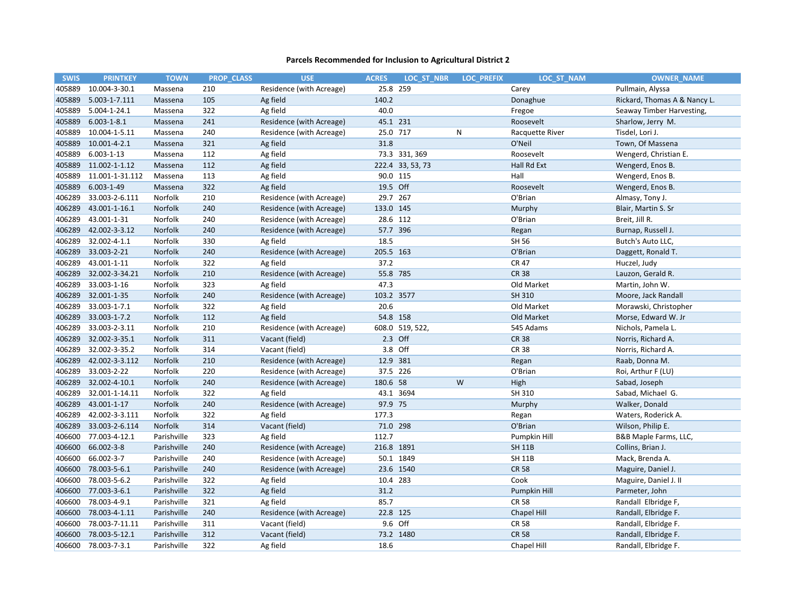| <b>SWIS</b> | <b>PRINTKEY</b>   | <b>TOWN</b> | <b>PROP CLASS</b> | <b>USE</b>               | <b>ACRES</b> | LOC ST NBR       | <b>LOC PREFIX</b> | LOC ST NAM      | <b>OWNER NAME</b>            |
|-------------|-------------------|-------------|-------------------|--------------------------|--------------|------------------|-------------------|-----------------|------------------------------|
| 405889      | 10.004-3-30.1     | Massena     | 210               | Residence (with Acreage) | 25.8 259     |                  |                   | Carey           | Pullmain, Alyssa             |
| 405889      | 5.003-1-7.111     | Massena     | 105               | Ag field                 | 140.2        |                  |                   | Donaghue        | Rickard, Thomas A & Nancy L. |
| 405889      | 5.004-1-24.1      | Massena     | 322               | Ag field                 | 40.0         |                  |                   | Fregoe          | Seaway Timber Harvesting,    |
| 405889      | $6.003 - 1 - 8.1$ | Massena     | 241               | Residence (with Acreage) | 45.1 231     |                  |                   | Roosevelt       | Sharlow, Jerry M.            |
| 405889      | 10.004-1-5.11     | Massena     | 240               | Residence (with Acreage) | 25.0 717     |                  | ${\sf N}$         | Racquette River | Tisdel, Lori J.              |
| 405889      | 10.001-4-2.1      | Massena     | 321               | Ag field                 | 31.8         |                  |                   | O'Neil          | Town, Of Massena             |
| 405889      | $6.003 - 1 - 13$  | Massena     | 112               | Ag field                 |              | 73.3 331, 369    |                   | Roosevelt       | Wengerd, Christian E.        |
| 405889      | 11.002-1-1.12     | Massena     | 112               | Ag field                 |              | 222.4 33, 53, 73 |                   | Hall Rd Ext     | Wengerd, Enos B.             |
| 405889      | 11.001-1-31.112   | Massena     | 113               | Ag field                 | 90.0 115     |                  |                   | Hall            | Wengerd, Enos B.             |
| 405889      | 6.003-1-49        | Massena     | 322               | Ag field                 | 19.5 Off     |                  |                   | Roosevelt       | Wengerd, Enos B.             |
| 406289      | 33.003-2-6.111    | Norfolk     | 210               | Residence (with Acreage) | 29.7 267     |                  |                   | O'Brian         | Almasy, Tony J.              |
| 406289      | 43.001-1-16.1     | Norfolk     | 240               | Residence (with Acreage) | 133.0 145    |                  |                   | Murphy          | Blair, Martin S. Sr          |
| 406289      | 43.001-1-31       | Norfolk     | 240               | Residence (with Acreage) | 28.6 112     |                  |                   | O'Brian         | Breit, Jill R.               |
| 406289      | 42.002-3-3.12     | Norfolk     | 240               | Residence (with Acreage) | 57.7 396     |                  |                   | Regan           | Burnap, Russell J.           |
| 406289      | 32.002-4-1.1      | Norfolk     | 330               | Ag field                 | 18.5         |                  |                   | SH 56           | Butch's Auto LLC,            |
| 406289      | 33.003-2-21       | Norfolk     | 240               | Residence (with Acreage) | 205.5 163    |                  |                   | O'Brian         | Daggett, Ronald T.           |
| 406289      | 43.001-1-11       | Norfolk     | 322               | Ag field                 | 37.2         |                  |                   | <b>CR 47</b>    | Huczel, Judy                 |
| 406289      | 32.002-3-34.21    | Norfolk     | 210               | Residence (with Acreage) | 55.8 785     |                  |                   | <b>CR 38</b>    | Lauzon, Gerald R.            |
| 406289      | 33.003-1-16       | Norfolk     | 323               | Ag field                 | 47.3         |                  |                   | Old Market      | Martin, John W.              |
| 406289      | 32.001-1-35       | Norfolk     | 240               | Residence (with Acreage) | 103.2 3577   |                  |                   | SH 310          | Moore, Jack Randall          |
| 406289      | 33.003-1-7.1      | Norfolk     | 322               | Ag field                 | 20.6         |                  |                   | Old Market      | Morawski, Christopher        |
| 406289      | 33.003-1-7.2      | Norfolk     | 112               | Ag field                 | 54.8 158     |                  |                   | Old Market      | Morse, Edward W. Jr          |
| 406289      | 33.003-2-3.11     | Norfolk     | 210               | Residence (with Acreage) |              | 608.0 519, 522,  |                   | 545 Adams       | Nichols, Pamela L.           |
| 406289      | 32.002-3-35.1     | Norfolk     | 311               | Vacant (field)           | 2.3 Off      |                  |                   | <b>CR 38</b>    | Norris, Richard A.           |
| 406289      | 32.002-3-35.2     | Norfolk     | 314               | Vacant (field)           | 3.8 Off      |                  |                   | <b>CR 38</b>    | Norris, Richard A.           |
| 406289      | 42.002-3-3.112    | Norfolk     | 210               | Residence (with Acreage) | 12.9 381     |                  |                   | Regan           | Raab, Donna M.               |
| 406289      | 33.003-2-22       | Norfolk     | 220               | Residence (with Acreage) | 37.5 226     |                  |                   | O'Brian         | Roi, Arthur F (LU)           |
| 406289      | 32.002-4-10.1     | Norfolk     | 240               | Residence (with Acreage) | 180.6 58     |                  | W                 | High            | Sabad, Joseph                |
| 406289      | 32.001-1-14.11    | Norfolk     | 322               | Ag field                 |              | 43.1 3694        |                   | SH 310          | Sabad, Michael G.            |
| 406289      | 43.001-1-17       | Norfolk     | 240               | Residence (with Acreage) | 97.9 75      |                  |                   | Murphy          | Walker, Donald               |
| 406289      | 42.002-3-3.111    | Norfolk     | 322               | Ag field                 | 177.3        |                  |                   | Regan           | Waters, Roderick A.          |
| 406289      | 33.003-2-6.114    | Norfolk     | 314               | Vacant (field)           | 71.0 298     |                  |                   | O'Brian         | Wilson, Philip E.            |
| 406600      | 77.003-4-12.1     | Parishville | 323               | Ag field                 | 112.7        |                  |                   | Pumpkin Hill    | B&B Maple Farms, LLC,        |
| 406600      | 66.002-3-8        | Parishville | 240               | Residence (with Acreage) | 216.8 1891   |                  |                   | <b>SH 11B</b>   | Collins, Brian J.            |
| 406600      | 66.002-3-7        | Parishville | 240               | Residence (with Acreage) |              | 50.1 1849        |                   | <b>SH 11B</b>   | Mack, Brenda A.              |
| 406600      | 78.003-5-6.1      | Parishville | 240               | Residence (with Acreage) |              | 23.6 1540        |                   | <b>CR 58</b>    | Maguire, Daniel J.           |
| 406600      | 78.003-5-6.2      | Parishville | 322               | Ag field                 | 10.4 283     |                  |                   | Cook            | Maguire, Daniel J. II        |
| 406600      | 77.003-3-6.1      | Parishville | 322               | Ag field                 | 31.2         |                  |                   | Pumpkin Hill    | Parmeter, John               |
| 406600      | 78.003-4-9.1      | Parishville | 321               | Ag field                 | 85.7         |                  |                   | <b>CR 58</b>    | Randall Elbridge F,          |
| 406600      | 78.003-4-1.11     | Parishville | 240               | Residence (with Acreage) | 22.8 125     |                  |                   | Chapel Hill     | Randall, Elbridge F.         |
| 406600      | 78.003-7-11.11    | Parishville | 311               | Vacant (field)           |              | 9.6 Off          |                   | <b>CR 58</b>    | Randall, Elbridge F.         |
| 406600      | 78.003-5-12.1     | Parishville | 312               | Vacant (field)           |              | 73.2 1480        |                   | <b>CR 58</b>    | Randall, Elbridge F.         |
| 406600      | 78.003-7-3.1      | Parishville | 322               | Ag field                 | 18.6         |                  |                   | Chapel Hill     | Randall, Elbridge F.         |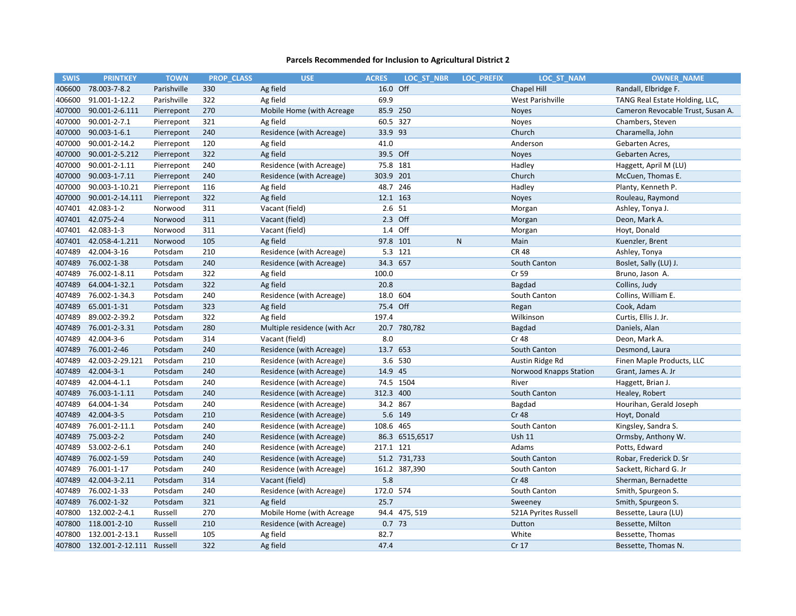| <b>SWIS</b> | <b>PRINTKEY</b>          | <b>TOWN</b> |     | <b>PROP CLASS</b> | <b>USE</b>                   | <b>ACRES</b> | LOC ST NBR     | <b>LOC PREFIX</b> | <b>LOC ST NAM</b>       | <b>OWNER NAME</b>                 |
|-------------|--------------------------|-------------|-----|-------------------|------------------------------|--------------|----------------|-------------------|-------------------------|-----------------------------------|
| 406600      | 78.003-7-8.2             | Parishville | 330 |                   | Ag field                     | 16.0 Off     |                |                   | Chapel Hill             | Randall, Elbridge F.              |
| 406600      | 91.001-1-12.2            | Parishville | 322 |                   | Ag field                     | 69.9         |                |                   | <b>West Parishville</b> | TANG Real Estate Holding, LLC,    |
| 407000      | 90.001-2-6.111           | Pierrepont  | 270 |                   | Mobile Home (with Acreage    | 85.9 250     |                |                   | <b>Noyes</b>            | Cameron Revocable Trust, Susan A. |
| 407000      | 90.001-2-7.1             | Pierrepont  | 321 |                   | Ag field                     | 60.5 327     |                |                   | Noyes                   | Chambers, Steven                  |
| 407000      | 90.003-1-6.1             | Pierrepont  | 240 |                   | Residence (with Acreage)     | 33.9 93      |                |                   | Church                  | Charamella, John                  |
| 407000      | 90.001-2-14.2            | Pierrepont  | 120 |                   | Ag field                     | 41.0         |                |                   | Anderson                | Gebarten Acres,                   |
| 407000      | 90.001-2-5.212           | Pierrepont  | 322 |                   | Ag field                     | 39.5 Off     |                |                   | <b>Noyes</b>            | Gebarten Acres,                   |
| 407000      | 90.001-2-1.11            | Pierrepont  | 240 |                   | Residence (with Acreage)     | 75.8 181     |                |                   | Hadley                  | Haggett, April M (LU)             |
| 407000      | 90.003-1-7.11            | Pierrepont  | 240 |                   | Residence (with Acreage)     | 303.9 201    |                |                   | Church                  | McCuen, Thomas E.                 |
| 407000      | 90.003-1-10.21           | Pierrepont  | 116 |                   | Ag field                     |              | 48.7 246       |                   | Hadley                  | Planty, Kenneth P.                |
| 407000      | 90.001-2-14.111          | Pierrepont  | 322 |                   | Ag field                     | 12.1 163     |                |                   | <b>Noyes</b>            | Rouleau, Raymond                  |
| 407401      | 42.083-1-2               | Norwood     | 311 |                   | Vacant (field)               | 2.6 51       |                |                   | Morgan                  | Ashley, Tonya J.                  |
|             | 407401 42.075-2-4        | Norwood     | 311 |                   | Vacant (field)               |              | 2.3 Off        |                   | Morgan                  | Deon, Mark A.                     |
| 407401      | 42.083-1-3               | Norwood     | 311 |                   | Vacant (field)               |              | 1.4 Off        |                   | Morgan                  | Hoyt, Donald                      |
| 407401      | 42.058-4-1.211           | Norwood     | 105 |                   | Ag field                     | 97.8 101     |                | $\mathsf{N}$      | Main                    | Kuenzler, Brent                   |
| 407489      | 42.004-3-16              | Potsdam     | 210 |                   | Residence (with Acreage)     |              | 5.3 121        |                   | <b>CR48</b>             | Ashley, Tonya                     |
| 407489      | 76.002-1-38              | Potsdam     | 240 |                   | Residence (with Acreage)     | 34.3 657     |                |                   | South Canton            | Boslet, Sally (LU) J.             |
| 407489      | 76.002-1-8.11            | Potsdam     | 322 |                   | Ag field                     | 100.0        |                |                   | Cr 59                   | Bruno, Jason A.                   |
| 407489      | 64.004-1-32.1            | Potsdam     | 322 |                   | Ag field                     | 20.8         |                |                   | Bagdad                  | Collins, Judy                     |
| 407489      | 76.002-1-34.3            | Potsdam     | 240 |                   | Residence (with Acreage)     | 18.0 604     |                |                   | South Canton            | Collins, William E.               |
| 407489      | 65.001-1-31              | Potsdam     | 323 |                   | Ag field                     | 75.4 Off     |                |                   | Regan                   | Cook, Adam                        |
| 407489      | 89.002-2-39.2            | Potsdam     | 322 |                   | Ag field                     | 197.4        |                |                   | Wilkinson               | Curtis, Ellis J. Jr.              |
| 407489      | 76.001-2-3.31            | Potsdam     | 280 |                   | Multiple residence (with Acr |              | 20.7 780,782   |                   | Bagdad                  | Daniels, Alan                     |
| 407489      | 42.004-3-6               | Potsdam     | 314 |                   | Vacant (field)               | 8.0          |                |                   | Cr 48                   | Deon, Mark A.                     |
| 407489      | 76.001-2-46              | Potsdam     | 240 |                   | Residence (with Acreage)     | 13.7 653     |                |                   | South Canton            | Desmond, Laura                    |
| 407489      | 42.003-2-29.121          | Potsdam     | 210 |                   | Residence (with Acreage)     |              | 3.6 530        |                   | Austin Ridge Rd         | Finen Maple Products, LLC         |
| 407489      | 42.004-3-1               | Potsdam     | 240 |                   | Residence (with Acreage)     | 14.9 45      |                |                   | Norwood Knapps Station  | Grant, James A. Jr                |
| 407489      | 42.004-4-1.1             | Potsdam     | 240 |                   | Residence (with Acreage)     |              | 74.5 1504      |                   | River                   | Haggett, Brian J.                 |
| 407489      | 76.003-1-1.11            | Potsdam     | 240 |                   | Residence (with Acreage)     | 312.3 400    |                |                   | South Canton            | Healey, Robert                    |
| 407489      | 64.004-1-34              | Potsdam     | 240 |                   | Residence (with Acreage)     | 34.2 867     |                |                   | Bagdad                  | Hourihan, Gerald Joseph           |
| 407489      | 42.004-3-5               | Potsdam     | 210 |                   | Residence (with Acreage)     |              | 5.6 149        |                   | <b>Cr 48</b>            | Hoyt, Donald                      |
| 407489      | 76.001-2-11.1            | Potsdam     | 240 |                   | Residence (with Acreage)     | 108.6 465    |                |                   | South Canton            | Kingsley, Sandra S.               |
| 407489      | 75.003-2-2               | Potsdam     | 240 |                   | Residence (with Acreage)     |              | 86.3 6515,6517 |                   | <b>Ush 11</b>           | Ormsby, Anthony W.                |
| 407489      | 53.002-2-6.1             | Potsdam     | 240 |                   | Residence (with Acreage)     | 217.1 121    |                |                   | Adams                   | Potts, Edward                     |
| 407489      | 76.002-1-59              | Potsdam     | 240 |                   | Residence (with Acreage)     |              | 51.2 731,733   |                   | South Canton            | Robar, Frederick D. Sr            |
| 407489      | 76.001-1-17              | Potsdam     | 240 |                   | Residence (with Acreage)     |              | 161.2 387,390  |                   | South Canton            | Sackett, Richard G. Jr            |
| 407489      | 42.004-3-2.11            | Potsdam     | 314 |                   | Vacant (field)               | 5.8          |                |                   | <b>Cr 48</b>            | Sherman, Bernadette               |
| 407489      | 76.002-1-33              | Potsdam     | 240 |                   | Residence (with Acreage)     | 172.0 574    |                |                   | South Canton            | Smith, Spurgeon S.                |
| 407489      | 76.002-1-32              | Potsdam     | 321 |                   | Ag field                     | 25.7         |                |                   | Sweeney                 | Smith, Spurgeon S.                |
| 407800      | 132.002-2-4.1            | Russell     | 270 |                   | Mobile Home (with Acreage    |              | 94.4 475, 519  |                   | 521A Pyrites Russell    | Bessette, Laura (LU)              |
| 407800      | 118.001-2-10             | Russell     | 210 |                   | Residence (with Acreage)     | $0.7$ 73     |                |                   | Dutton                  | Bessette, Milton                  |
| 407800      | 132.001-2-13.1           | Russell     | 105 |                   | Ag field                     | 82.7         |                |                   | White                   | Bessette, Thomas                  |
| 407800      | 132.001-2-12.111 Russell |             | 322 |                   | Ag field                     | 47.4         |                |                   | Cr 17                   | Bessette, Thomas N.               |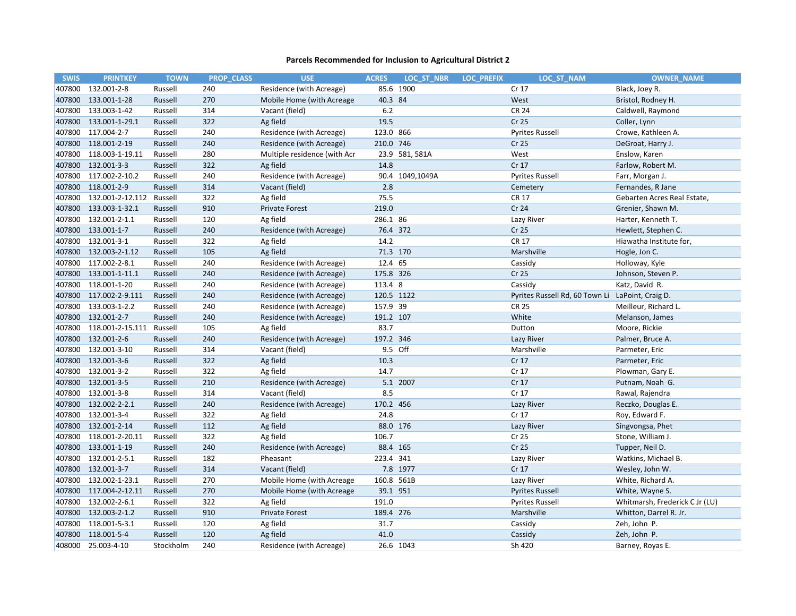| <b>SWIS</b> | <b>PRINTKEY</b>  | <b>TOWN</b> | <b>PROP CLASS</b> | <b>USE</b>                   | <b>ACRES</b> | LOC ST NBR      | <b>LOC PREFIX</b> | LOC ST NAM                                       | <b>OWNER NAME</b>              |
|-------------|------------------|-------------|-------------------|------------------------------|--------------|-----------------|-------------------|--------------------------------------------------|--------------------------------|
| 407800      | 132.001-2-8      | Russell     | 240               | Residence (with Acreage)     | 85.6         | 1900            |                   | Cr 17                                            | Black, Joey R.                 |
| 407800      | 133.001-1-28     | Russell     | 270               | Mobile Home (with Acreage    | 40.3 84      |                 |                   | West                                             | Bristol, Rodney H.             |
| 407800      | 133.003-1-42     | Russell     | 314               | Vacant (field)               | 6.2          |                 |                   | <b>CR 24</b>                                     | Caldwell, Raymond              |
| 407800      | 133.001-1-29.1   | Russell     | 322               | Ag field                     | 19.5         |                 |                   | Cr 25                                            | Coller, Lynn                   |
| 407800      | 117.004-2-7      | Russell     | 240               | Residence (with Acreage)     | 123.0 866    |                 |                   | <b>Pyrites Russell</b>                           | Crowe, Kathleen A.             |
| 407800      | 118.001-2-19     | Russell     | 240               | Residence (with Acreage)     | 210.0 746    |                 |                   | Cr 25                                            | DeGroat, Harry J.              |
| 407800      | 118.003-1-19.11  | Russell     | 280               | Multiple residence (with Acr |              | 23.9 581, 581A  |                   | West                                             | Enslow, Karen                  |
| 407800      | 132.001-3-3      | Russell     | 322               | Ag field                     | 14.8         |                 |                   | Cr 17                                            | Farlow, Robert M.              |
| 407800      | 117.002-2-10.2   | Russell     | 240               | Residence (with Acreage)     |              | 90.4 1049,1049A |                   | <b>Pyrites Russell</b>                           | Farr, Morgan J.                |
| 407800      | 118.001-2-9      | Russell     | 314               | Vacant (field)               | 2.8          |                 |                   | Cemetery                                         | Fernandes, R Jane              |
| 407800      | 132.001-2-12.112 | Russell     | 322               | Ag field                     | 75.5         |                 |                   | <b>CR 17</b>                                     | Gebarten Acres Real Estate,    |
| 407800      | 133.003-1-32.1   | Russell     | 910               | <b>Private Forest</b>        | 219.0        |                 |                   | Cr 24                                            | Grenier, Shawn M.              |
| 407800      | 132.001-2-1.1    | Russell     | 120               | Ag field                     | 286.1 86     |                 |                   | Lazy River                                       | Harter, Kenneth T.             |
| 407800      | 133.001-1-7      | Russell     | 240               | Residence (with Acreage)     | 76.4 372     |                 |                   | Cr 25                                            | Hewlett, Stephen C.            |
| 407800      | 132.001-3-1      | Russell     | 322               | Ag field                     | 14.2         |                 |                   | <b>CR 17</b>                                     | Hiawatha Institute for,        |
| 407800      | 132.003-2-1.12   | Russell     | 105               | Ag field                     | 71.3 170     |                 |                   | Marshville                                       | Hogle, Jon C.                  |
| 407800      | 117.002-2-8.1    | Russell     | 240               | Residence (with Acreage)     | 12.4 65      |                 |                   | Cassidy                                          | Holloway, Kyle                 |
| 407800      | 133.001-1-11.1   | Russell     | 240               | Residence (with Acreage)     | 175.8 326    |                 |                   | Cr 25                                            | Johnson, Steven P.             |
| 407800      | 118.001-1-20     | Russell     | 240               | Residence (with Acreage)     | 113.4 8      |                 |                   | Cassidy                                          | Katz, David R.                 |
| 407800      | 117.002-2-9.111  | Russell     | 240               | Residence (with Acreage)     | 120.5 1122   |                 |                   | Pyrites Russell Rd, 60 Town Li LaPoint, Craig D. |                                |
| 407800      | 133.003-1-2.2    | Russell     | 240               | Residence (with Acreage)     | 157.9 39     |                 |                   | <b>CR 25</b>                                     | Meilleur, Richard L.           |
| 407800      | 132.001-2-7      | Russell     | 240               | Residence (with Acreage)     | 191.2 107    |                 |                   | White                                            | Melanson, James                |
| 407800      | 118.001-2-15.111 | Russell     | 105               | Ag field                     | 83.7         |                 |                   | Dutton                                           | Moore, Rickie                  |
| 407800      | 132.001-2-6      | Russell     | 240               | Residence (with Acreage)     | 197.2 346    |                 |                   | Lazy River                                       | Palmer, Bruce A.               |
| 407800      | 132.001-3-10     | Russell     | 314               | Vacant (field)               |              | 9.5 Off         |                   | Marshville                                       | Parmeter, Eric                 |
| 407800      | 132.001-3-6      | Russell     | 322               | Ag field                     | 10.3         |                 |                   | Cr 17                                            | Parmeter, Eric                 |
| 407800      | 132.001-3-2      | Russell     | 322               | Ag field                     | 14.7         |                 |                   | Cr 17                                            | Plowman, Gary E.               |
| 407800      | 132.001-3-5      | Russell     | 210               | Residence (with Acreage)     |              | 5.1 2007        |                   | Cr 17                                            | Putnam, Noah G.                |
| 407800      | 132.001-3-8      | Russell     | 314               | Vacant (field)               | 8.5          |                 |                   | Cr 17                                            | Rawal, Rajendra                |
| 407800      | 132.002-2-2.1    | Russell     | 240               | Residence (with Acreage)     | 170.2 456    |                 |                   | Lazy River                                       | Reczko, Douglas E.             |
| 407800      | 132.001-3-4      | Russell     | 322               | Ag field                     | 24.8         |                 |                   | Cr 17                                            | Roy, Edward F.                 |
| 407800      | 132.001-2-14     | Russell     | 112               | Ag field                     | 88.0 176     |                 |                   | Lazy River                                       | Singvongsa, Phet               |
| 407800      | 118.001-2-20.11  | Russell     | 322               | Ag field                     | 106.7        |                 |                   | Cr 25                                            | Stone, William J.              |
| 407800      | 133.001-1-19     | Russell     | 240               | Residence (with Acreage)     | 88.4 165     |                 |                   | Cr 25                                            | Tupper, Neil D.                |
| 407800      | 132.001-2-5.1    | Russell     | 182               | Pheasant                     | 223.4 341    |                 |                   | Lazy River                                       | Watkins, Michael B.            |
| 407800      | 132.001-3-7      | Russell     | 314               | Vacant (field)               |              | 7.8 1977        |                   | Cr 17                                            | Wesley, John W.                |
| 407800      | 132.002-1-23.1   | Russell     | 270               | Mobile Home (with Acreage    | 160.8 561B   |                 |                   | Lazy River                                       | White, Richard A.              |
| 407800      | 117.004-2-12.11  | Russell     | 270               | Mobile Home (with Acreage    | 39.1 951     |                 |                   | <b>Pyrites Russell</b>                           | White, Wayne S.                |
| 407800      | 132.002-2-6.1    | Russell     | 322               | Ag field                     | 191.0        |                 |                   | <b>Pyrites Russell</b>                           | Whitmarsh, Frederick C Jr (LU) |
| 407800      | 132.003-2-1.2    | Russell     | 910               | <b>Private Forest</b>        | 189.4 276    |                 |                   | Marshville                                       | Whitton, Darrel R. Jr.         |
| 407800      | 118.001-5-3.1    | Russell     | 120               | Ag field                     | 31.7         |                 |                   | Cassidy                                          | Zeh, John P.                   |
| 407800      | 118.001-5-4      | Russell     | 120               | Ag field                     | 41.0         |                 |                   | Cassidy                                          | Zeh, John P.                   |
| 408000      | 25.003-4-10      | Stockholm   | 240               | Residence (with Acreage)     |              | 26.6 1043       |                   | Sh 420                                           | Barney, Royas E.               |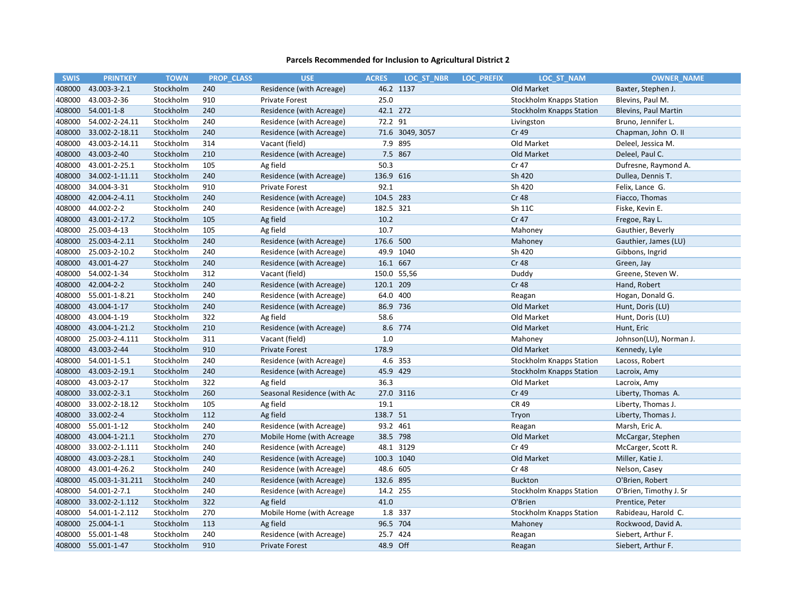| <b>SWIS</b> | <b>PRINTKEY</b> | <b>TOWN</b> |     | <b>PROP CLASS</b> | <b>USE</b>                  | <b>ACRES</b> | LOC ST NBR      | <b>LOC PREFIX</b> | LOC ST NAM                      | <b>OWNER NAME</b>           |
|-------------|-----------------|-------------|-----|-------------------|-----------------------------|--------------|-----------------|-------------------|---------------------------------|-----------------------------|
| 408000      | 43.003-3-2.1    | Stockholm   | 240 |                   | Residence (with Acreage)    |              | 46.2 1137       |                   | Old Market                      | Baxter, Stephen J.          |
| 408000      | 43.003-2-36     | Stockholm   | 910 |                   | <b>Private Forest</b>       | 25.0         |                 |                   | <b>Stockholm Knapps Station</b> | Blevins, Paul M.            |
| 408000      | 54.001-1-8      | Stockholm   | 240 |                   | Residence (with Acreage)    | 42.1 272     |                 |                   | <b>Stockholm Knapps Station</b> | <b>Blevins, Paul Martin</b> |
| 408000      | 54.002-2-24.11  | Stockholm   | 240 |                   | Residence (with Acreage)    | 72.2 91      |                 |                   | Livingston                      | Bruno, Jennifer L.          |
| 408000      | 33.002-2-18.11  | Stockholm   | 240 |                   | Residence (with Acreage)    |              | 71.6 3049, 3057 |                   | Cr 49                           | Chapman, John O. II         |
| 408000      | 43.003-2-14.11  | Stockholm   | 314 |                   | Vacant (field)              |              | 7.9 895         |                   | Old Market                      | Deleel, Jessica M.          |
| 408000      | 43.003-2-40     | Stockholm   | 210 |                   | Residence (with Acreage)    |              | 7.5 867         |                   | Old Market                      | Deleel, Paul C.             |
| 408000      | 43.001-2-25.1   | Stockholm   | 105 |                   | Ag field                    | 50.3         |                 |                   | Cr 47                           | Dufresne, Raymond A.        |
| 408000      | 34.002-1-11.11  | Stockholm   | 240 |                   | Residence (with Acreage)    | 136.9 616    |                 |                   | Sh 420                          | Dullea, Dennis T.           |
| 408000      | 34.004-3-31     | Stockholm   | 910 |                   | <b>Private Forest</b>       | 92.1         |                 |                   | Sh 420                          | Felix, Lance G.             |
| 408000      | 42.004-2-4.11   | Stockholm   | 240 |                   | Residence (with Acreage)    | 104.5 283    |                 |                   | <b>Cr 48</b>                    | Fiacco, Thomas              |
| 408000      | 44.002-2-2      | Stockholm   | 240 |                   | Residence (with Acreage)    | 182.5 321    |                 |                   | Sh 11C                          | Fiske, Kevin E.             |
| 408000      | 43.001-2-17.2   | Stockholm   | 105 |                   | Ag field                    | 10.2         |                 |                   | Cr 47                           | Fregoe, Ray L.              |
| 408000      | 25.003-4-13     | Stockholm   | 105 |                   | Ag field                    | 10.7         |                 |                   | Mahoney                         | Gauthier, Beverly           |
| 408000      | 25.003-4-2.11   | Stockholm   | 240 |                   | Residence (with Acreage)    | 176.6 500    |                 |                   | Mahoney                         | Gauthier, James (LU)        |
| 408000      | 25.003-2-10.2   | Stockholm   | 240 |                   | Residence (with Acreage)    |              | 49.9 1040       |                   | Sh 420                          | Gibbons, Ingrid             |
| 408000      | 43.001-4-27     | Stockholm   | 240 |                   | Residence (with Acreage)    | 16.1 667     |                 |                   | <b>Cr 48</b>                    | Green, Jay                  |
| 408000      | 54.002-1-34     | Stockholm   | 312 |                   | Vacant (field)              |              | 150.0 55,56     |                   | Duddy                           | Greene, Steven W.           |
| 408000      | 42.004-2-2      | Stockholm   | 240 |                   | Residence (with Acreage)    | 120.1 209    |                 |                   | <b>Cr 48</b>                    | Hand, Robert                |
| 408000      | 55.001-1-8.21   | Stockholm   | 240 |                   | Residence (with Acreage)    | 64.0 400     |                 |                   | Reagan                          | Hogan, Donald G.            |
| 408000      | 43.004-1-17     | Stockholm   | 240 |                   | Residence (with Acreage)    | 86.9 736     |                 |                   | Old Market                      | Hunt, Doris (LU)            |
| 408000      | 43.004-1-19     | Stockholm   | 322 |                   | Ag field                    | 58.6         |                 |                   | Old Market                      | Hunt, Doris (LU)            |
| 408000      | 43.004-1-21.2   | Stockholm   | 210 |                   | Residence (with Acreage)    |              | 8.6 774         |                   | Old Market                      | Hunt, Eric                  |
| 408000      | 25.003-2-4.111  | Stockholm   | 311 |                   | Vacant (field)              | 1.0          |                 |                   | Mahoney                         | Johnson(LU), Norman J.      |
| 408000      | 43.003-2-44     | Stockholm   | 910 |                   | <b>Private Forest</b>       | 178.9        |                 |                   | Old Market                      | Kennedy, Lyle               |
| 408000      | 54.001-1-5.1    | Stockholm   | 240 |                   | Residence (with Acreage)    |              | 4.6 353         |                   | Stockholm Knapps Station        | Lacoss, Robert              |
| 408000      | 43.003-2-19.1   | Stockholm   | 240 |                   | Residence (with Acreage)    | 45.9 429     |                 |                   | <b>Stockholm Knapps Station</b> | Lacroix, Amy                |
| 408000      | 43.003-2-17     | Stockholm   | 322 |                   | Ag field                    | 36.3         |                 |                   | Old Market                      | Lacroix, Amy                |
| 408000      | 33.002-2-3.1    | Stockholm   | 260 |                   | Seasonal Residence (with Ac |              | 27.0 3116       |                   | Cr 49                           | Liberty, Thomas A.          |
| 408000      | 33.002-2-18.12  | Stockholm   | 105 |                   | Ag field                    | 19.1         |                 |                   | <b>CR 49</b>                    | Liberty, Thomas J.          |
| 408000      | 33.002-2-4      | Stockholm   | 112 |                   | Ag field                    | 138.7 51     |                 |                   | Tryon                           | Liberty, Thomas J.          |
| 408000      | 55.001-1-12     | Stockholm   | 240 |                   | Residence (with Acreage)    | 93.2 461     |                 |                   | Reagan                          | Marsh, Eric A.              |
| 408000      | 43.004-1-21.1   | Stockholm   | 270 |                   | Mobile Home (with Acreage   | 38.5 798     |                 |                   | Old Market                      | McCargar, Stephen           |
| 408000      | 33.002-2-1.111  | Stockholm   | 240 |                   | Residence (with Acreage)    |              | 48.1 3129       |                   | Cr 49                           | McCarger, Scott R.          |
| 408000      | 43.003-2-28.1   | Stockholm   | 240 |                   | Residence (with Acreage)    | 100.3 1040   |                 |                   | Old Market                      | Miller, Katie J.            |
| 408000      | 43.001-4-26.2   | Stockholm   | 240 |                   | Residence (with Acreage)    | 48.6 605     |                 |                   | Cr 48                           | Nelson, Casey               |
| 408000      | 45.003-1-31.211 | Stockholm   | 240 |                   | Residence (with Acreage)    | 132.6 895    |                 |                   | <b>Buckton</b>                  | O'Brien, Robert             |
| 408000      | 54.001-2-7.1    | Stockholm   | 240 |                   | Residence (with Acreage)    | 14.2 255     |                 |                   | <b>Stockholm Knapps Station</b> | O'Brien, Timothy J. Sr      |
| 408000      | 33.002-2-1.112  | Stockholm   | 322 |                   | Ag field                    | 41.0         |                 |                   | O'Brien                         | Prentice, Peter             |
| 408000      | 54.001-1-2.112  | Stockholm   | 270 |                   | Mobile Home (with Acreage   |              | 1.8 337         |                   | <b>Stockholm Knapps Station</b> | Rabideau, Harold C.         |
| 408000      | 25.004-1-1      | Stockholm   | 113 |                   | Ag field                    | 96.5 704     |                 |                   | Mahoney                         | Rockwood, David A.          |
| 408000      | 55.001-1-48     | Stockholm   | 240 |                   | Residence (with Acreage)    | 25.7 424     |                 |                   | Reagan                          | Siebert, Arthur F.          |
| 408000      | 55.001-1-47     | Stockholm   | 910 |                   | <b>Private Forest</b>       | 48.9 Off     |                 |                   | Reagan                          | Siebert, Arthur F.          |